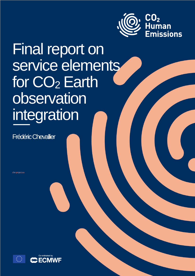

Final report on service elements for CO<sub>2</sub> Earth observation integration

Frédéric Chevallier

che-project.eu

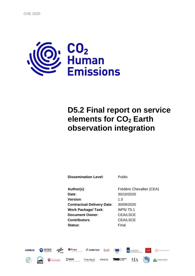

# **D5.2 Final report on service elements for CO<sup>2</sup> Earth observation integration**

| <b>Dissemination Level:</b>       | Public                    |
|-----------------------------------|---------------------------|
|                                   |                           |
| Author(s):                        | Frédéric Chevallier (CEA) |
| Date:                             | 30/10/2020                |
| <b>Version:</b>                   | 1.O                       |
| <b>Contractual Delivery Date:</b> | 30/09/2020                |
| <b>Work Package/Task:</b>         | WP5/T5.1                  |
| <b>Document Owner:</b>            | CEA/LSCE                  |
| Contributors:                     | <b>CEA/LSCE</b>           |
| Status:                           | Final                     |

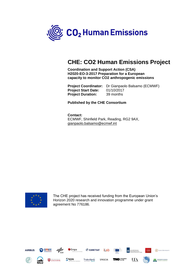

# **CHE: CO2 Human Emissions Project**

**Coordination and Support Action (CSA) H2020-EO-3-2017 Preparation for a European capacity to monitor CO2 anthropogenic emissions**

**Project Coordinator:** Dr Gianpaolo Balsamo (ECMWF) **Project Start Date:** 01/10/2017 **Project Duration:** 39 months

**Published by the CHE Consortium**

**Contact:** ECMWF, Shinfield Park, Reading, RG2 9AX, [gianpaolo.balsamo@ecmwf.int](mailto:gianpaolo.balsamo@ecmwf.int)



The CHE project has received funding from the European Union's Horizon 2020 research and innovation programme under grant agreement No 776186.

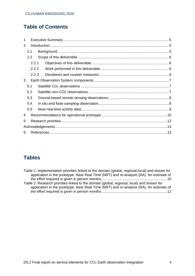# **Table of Contents**

| 1 |       |  |
|---|-------|--|
| 2 |       |  |
|   | 2.1   |  |
|   | 2.2   |  |
|   | 2.2.1 |  |
|   | 2.2.2 |  |
|   | 2.2.3 |  |
| 3 |       |  |
|   | 5.1   |  |
|   | 5.2   |  |
|   | 5.3   |  |
|   | 5.4   |  |
|   | 5.5   |  |
| 4 |       |  |
| 5 |       |  |
|   |       |  |
| 6 |       |  |
|   |       |  |

# **Tables**

| Table 1: Implementation priorities linked to the domain (global, regional, local) and stream for |
|--------------------------------------------------------------------------------------------------|
| application in the prototype: Near Real Time (NRT) and re-analysis (RA). An estimate of          |
|                                                                                                  |
| Table 2: Research priorities linked to the domain (global, regional, local) and stream for       |
| application in the prototype: Near Real Time (NRT) and re-analysis (RA). An estimate of          |
|                                                                                                  |
|                                                                                                  |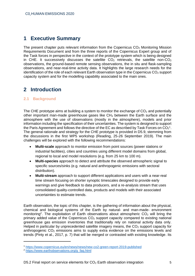## <span id="page-4-0"></span>**1 Executive Summary**

The present chapter puts relevant information from the Copernicus  $CO<sub>2</sub>$  Monitoring Mission Requirements Document and from the three reports of the Copernicus Expert group and of the Task forces in perspective in the context of the prototype system which is being designed in CHE. It successively discusses the satellite  $CO<sub>2</sub>$  retrievals, the satellite non- $CO<sub>2</sub>$ observations, the ground-based remote sensing observations, the in situ and flask-sampling observations, and near-real-time activity data. It highlights the large research needs for the identification of the role of each relevant Earth observation type in the Copernicus  $CO<sub>2</sub>$  support capacity system and for the modelling capability associated to the main ones.

### <span id="page-4-1"></span>**2 Introduction**

#### <span id="page-4-2"></span>**2.1 Background**

The CHE prototype aims at building a system to monitor the exchange of  $CO<sub>2</sub>$  and potentially other important man-made greenhouse gases like  $CH<sub>4</sub>$  between the Earth surface and the atmosphere with the use of observations (mostly in the atmosphere), models and prior information including the specification of their uncertainties. The system is designed to support the Paris Agreement and follows the directive of the EC as described by Task Forces on  $CO<sub>2</sub><sup>1</sup>$ . The general rationale and strategy for the CHE prototype is provided in D5.9, stemming from the discussions in the first WP5 workshop (Reading, 25-26 September 2019). The main challenges will be explored with the following recommendations:

- **Multi-scale** approach to monitor emission from point sources (power stations or industrial facilities), cities and countries using different model domains from global, regional to local and model resolutions (e.g. from 25 km to 100 m).
- **Multi-species** approach to detect and attribute the observed atmospheric signal to specific sources/sinks (e.g. natural and anthropogenic emissions with sectoral distribution).
- **Multi-stream** approach to support different applications and users with a near-real time stream focusing on shorter synoptic timescales designed to provide early warnings and give feedback to data producers, and a re-analysis stream that uses consolidated quality-controlled data, products and models with their associated uncertainties to estimate trends.

Earth observation, the topic of this chapter, is the gathering of information about the physical, chemical and biological systems of the Earth by natural- and man-made- environment monitoring<sup>2</sup>. The exploitation of Earth observations about atmospheric  $CO<sub>2</sub>$  will bring the primary added value of the Copernicus  $CO<sub>2</sub>$  support capacity compared to existing national greenhouse gas emission inventories that traditionally rely on national activity data only. Helped in particular by unprecedented satellite imagery means, the  $CO<sub>2</sub>$  support capacity for anthropogenic  $CO<sub>2</sub>$  emissions aims to supply extra evidence on the emissions levels and trends (Pinty et al., 2017, p. 7) that will be merged or contrasted with existing knowledge. Its

<sup>1</sup> <https://www.copernicus.eu/en/news/news/new-co2-green-report-2019-published>

<sup>2</sup> [https://www.earthobservations.org/g\\_faq.html](https://www.earthobservations.org/g_faq.html)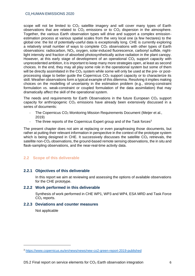scope will not be limited to  $CO<sub>2</sub>$  satellite imagery and will cover many types of Earth observations that are related to  $CO<sub>2</sub>$  emissions or to  $CO<sub>2</sub>$  dispersion in the atmosphere. Together, the various Earth observation types will drive and support a complex emissionestimation process at various spatial scales from the very local one (a few hectares) to the global one: the list of potentially-useful data is exceptionally long. CHE is currently exploring a relatively small number of ways to complete  $CO<sub>2</sub>$  observations with other types of Earth observations: radiocarbon, NO2, oxygen, solar-induced fluorescence, carbonyl sulfide, nightlight intensity and fraction of absorbed photosynthetically active radiation in the plant canopy. However, at this early stage of development of an operational  $CO<sub>2</sub>$  support capacity with unprecedented ambition, it is important to keep many more strategies open, at least as second choices. In the end, they may all play some role in the operational system but some of them will be directly assimilated in the  $CO<sub>2</sub>$  system while some will only be used at the pre- or postprocessing stage to better guide the Copernicus  $CO<sub>2</sub>$  support capacity or to characterize its skill. Weather observations form a typical example of this dilemma. Resolving it implies making choices on the modelling of uncertainty in the estimation problem (e.g., strong-constraint formulation vs. weak-constraint or coupled formulation of the data assimilation) that may dramatically affect the skill of the operational system.

The needs and requirements for Earth Observations in the future European  $CO<sub>2</sub>$  support capacity for anthropogenic  $CO<sub>2</sub>$  emissions have already been extensively discussed in a series of documents:

- The Copernicus CO<sub>2</sub> Monitoring Mission Requirements Document (Meijer et al., 2019)
- The three reports of the Copernicus Expert group and of the Task forces<sup>3</sup>

The present chapter does not aim at replacing or even paraphrasing those documents, but rather at putting their relevant information in perspective in the context of the prototype system which is being designed in CHE. It successively discusses the satellite  $CO<sub>2</sub>$  retrievals, the satellite non-CO<sub>2</sub> observations, the ground-based remote sensing observations, the in situ and flask-sampling observations, and the near-real-time activity data.

#### <span id="page-5-0"></span>**2.2 Scope of this deliverable**

#### **2.2.1 Objectives of this deliverable**

<span id="page-5-1"></span>In this report we aim at reviewing and assessing the options of available observations for the CHE prototype.

#### <span id="page-5-2"></span>**2.2.2 Work performed in this deliverable**

Synthesis of work performed in CHE WP1, WP3 and WP4, ESA MRD and Task Force  $CO<sub>2</sub>$  reports.

#### <span id="page-5-3"></span>**2.2.3 Deviations and counter measures**

Not applicable

<sup>3</sup> <https://www.copernicus.eu/en/news/news/new-co2-green-report-2019-published>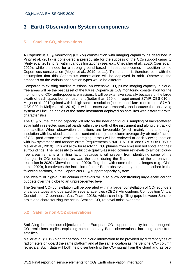# <span id="page-6-0"></span>**3 Earth Observation System components**

#### <span id="page-6-1"></span>**5.1 Satellite CO<sup>2</sup> observations**

A Copernicus CO<sup>2</sup> monitoring (CO2M) constellation with imaging capability as described in Pinty et al. (2017) is considered a prerequisite for the success of the  $CO<sub>2</sub>$  support capacity (Pinty et al. 2019, p. 3) within various limitations (see, e.g., Chevallier et al., 2020; Ciais et al., 2020), while the need for a strong ground-based infrastructure comes in addition to the Copernicus constellation (Meijer et al., 2019, p. 11). This chapter is therefore built with the assumption that this Copernicus constellation will be deployed in orbit. Otherwise, the emphasis on the various observation types would be different.

Compared to existing satellite missions, an extensive  $CO<sub>2</sub>$  plume imaging capacity in cloudfree areas will be the best asset of the future Copernicus  $CO<sub>2</sub>$  monitoring constellation for the monitoring of  $CO<sub>2</sub>$  anthropogenic emissions. It will be extensive spatially because of the large swath of each space-borne instrument (better than 250 km, requirement S7MR-OBS-010 in Meijer et al., 2019) joined with its high spatial resolution (better than 4 km<sup>2</sup>, requirement S7MR-OBS-020 in Meijer et al., 2019). It will be extensive temporally too because the observing system will include copies of the same instrument deployed on satellites with different orbital characteristics.

The CO<sub>2</sub> plume imaging capacity will rely on the near-contiguous sampling of backscattered solar light in selected spectral bands within the swath of the instrument and along the track of the satellite. When observation conditions are favourable (which mainly means enough insolation with low cloud and aerosol contamination), the column average dry-air mole fraction of CO<sup>2</sup> (and associated vertical averaging kernel) will be retrieved at each viewing location with low systematic and random errors (requirements S7MR-DAT-010 and S7MR-DAT-050 in Meijer et al., 2019). This will allow for resolving  $CO<sub>2</sub>$  plumes from emission hot spots and their surroundings. The necessity to restrict the quality-assured column retrievals to almost cloudfree areas remains a limiting factor because it will prevent from identifying some of the changes in  $CO<sub>2</sub>$  emissions, as was the case during the first months of the coronavirus recession in 2020 (Chevallier et al., 2020). Together with some other challenges (e.g., Ciais et al., 2020), it motivates the inclusion of other Earth observation types, as described in the following sections, in the Copernicus  $CO<sub>2</sub>$  support capacity system.

The wealth of high-quality column retrievals will also allow constraining large-scale carbon budgets over the globe to an unprecedented level.

The Sentinel  $CO<sub>2</sub>$  constellation will be operated within a larger constellation of  $CO<sub>2</sub>$  sounders of various types and operated by several agencies (CEOS Atmospheric Composition Virtual Constellation Greenhouse Gas Team, 2018), which can help filling gaps between Sentinel orbits and characterizing the actual Sentinel  $CO<sub>2</sub>$  retrieval noise over time.

#### <span id="page-6-2"></span>**5.2 Satellite non-CO2 observations**

Satisfying the ambitious objectives of the European  $CO<sub>2</sub>$  support capacity for anthropogenic  $CO<sub>2</sub>$  emissions implies exploiting complementary Earth observations, including some from satellites.

Meijer et al. (2019) plan for aerosol and cloud information to be provided by different types of radiometers on-board the same platform and at the same location as the Sentinel  $CO<sub>2</sub>$  column retrievals. Such data will both help disentangling the  $CO<sub>2</sub>$  signal from the cloud and aerosol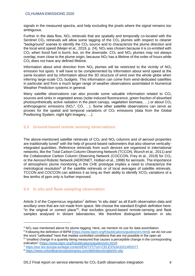signals in the measured spectra, and help excluding the pixels where the signal remains too ambiguous.

Further in the data flow,  $NO<sub>2</sub>$  retrievals that are spatially and temporally co-located with the Sentinel  $CO<sub>2</sub>$  retrievals will allow some tagging of the  $CO<sub>2</sub>$  plumes with respect to cleaner "background" scenes to identify the  $CO<sub>2</sub>$  source and to characterize the plume direction and the local wind speed (Meijer et al., 2019, p. 24). NO<sub>2</sub> was chosen because it is co-emitted with  $CO<sub>2</sub>$  when fossil fuel is burnt; but, on the downside,  $CO<sub>2</sub>$  and NO<sub>2</sub> plumes may not always overlap, even close to the plume origin, because  $NO<sub>2</sub>$  has a lifetime of the order of hours while CO<sup>2</sup> does not have any defined lifetime.

Information about wind direction from  $NO<sub>2</sub>$  plumes will be restricted to the vicinity of  $NO<sub>2</sub>$ emission hot spots. It will have to be complemented by information about wind speed at the same location and by information about the 3D structure of wind over the whole globe when inferring large-scale  $CO<sub>2</sub>$  budgets. This information can come from wind-dedicated satellites in particular and from a much larger range of weather observations assimilated in Numerical Weather Prediction systems in general.

Many satellite observations can also provide some valuable information related to  $CO<sub>2</sub>$ sources and sinks in vegetated areas (solar-induced fluorescence, green fraction of absorbed photosynthetically active radiation in the plant canopy, vegetation biomass,  $\dots$ ) or about  $CO<sub>2</sub>$ anthropogenic emissions ( $NO<sub>2</sub><sup>4</sup>$ , CO, ...). Some other satellite observations can serve as proxies for the spatial and temporal variations of  $CO<sub>2</sub>$  emissions (data from the Global Positioning System, night light imagery, …).

#### <span id="page-7-0"></span>**5.3 Ground-based remote sensing observations**

The above-mentioned satellite retrievals of  $CO<sub>2</sub>$  and  $NO<sub>2</sub>$  columns and of aerosol properties are traditionally tuned<sup>5</sup> with the help of ground-based radiometers that also observe verticallyintegrated quantities. Reference retrievals from such devices are organized in international networks, like the Total Carbon Column Observing Network (TCCON, Wunch et al., 2011) and the Collaborative Carbon Column Observing Network (COCCON, Frey et al., 2019) for CO<sub>2</sub> or the Aerosol Robotic Network (AERONET, Holben et al., 1998) for aerosols. The importance of atmospheric plume monitoring in the CHE prototype implies a need to characterize the metrological resolution<sup>6</sup> of the satellite retrievals or of local averages of satellite retrievals. TCCON and COCCON can address it as long as their ability to identify  $XCO<sub>2</sub>$  variations of a few tenths of ppm only is further improved.

#### <span id="page-7-1"></span>**5.4 In situ and flask-sampling observation**

Article 3 of the Copernicus regulation<sup>7</sup> defines "in situ data" as all Earth observation data and ancillary ones that are not made from space. We choose the standard English definition here: "in the original or correct place"<sup>8</sup>, that excludes ground-based remote-sensing and flask samples analysed in distant laboratories. We therefore distinguish between in situ

 $4$  NO<sub>2</sub> was mentioned above for plume tagging. Here, we mention its use for data assimilation.

<sup>&</sup>lt;sup>5</sup> Following the definition of BIPM [\(https://www.bipm.org/fr/publications/guides/vim.html\)](https://www.bipm.org/fr/publications/guides/vim.html), we do not use the word "calibrated" here that implies controlled conditions that are not possible in the open air.

<sup>&</sup>lt;sup>6</sup> "smallest change in a quantity being measured that causes a perceptible change in the corresponding indication" [\(https://www.bipm.org/fr/publications/guides/vim.html\)](https://www.bipm.org/fr/publications/guides/vim.html).

<sup>7</sup> <https://eur-lex.europa.eu/legal-content/EN/TXT/?uri=CELEX%3A32014R0377>

<sup>8</sup> <https://www.oxfordlearnersdictionaries.com/definition/english/in-situ>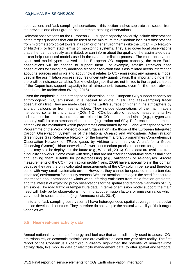#### C02 HUMAN EMISSIONS 2020

observations and flask-sampling observations in this section and we separate this section from the previous one about ground-based remote-sensing observations.

Relevant observations for the European  $CO<sub>2</sub>$  support capacity obviously include observations of the target quantities that can be used at the minimum for validation: local flux observations from micrometeorological towers in urban or other environments (like the Urban Flux Network or FluxNet), or from stack emission monitoring systems. They also cover local observations that either can be directly assimilated, or can inform about the quality of the assimilated data, or can help numerical models used in the data assimilation process. The more observation types and model types involved in the European  $CO<sub>2</sub>$  support capacity, the more Earth observations will be needed to support them. For example, satellite retrievals need observations for tuning; any additional tracer observation that is assimilated needs information about its sources and sinks and about how it relates to  $CO<sub>2</sub>$  emissions; any numerical model used in the assimilation process requires uncertainty quantification. It is important to note that there will be nuisance variables (i.e. knowledge gaps that are not limited to the target variables of the Copernicus support capacity) for all atmospheric tracers, even for the most obvious ones here like radiocarbon (Wang, 2016).

Given the emphasis put on atmospheric dispersion in the European  $CO<sub>2</sub>$  support capacity for anthropogenic  $CO<sub>2</sub>$  emissions, it is natural to quote in situ and flask-sampling tracer observations first. They are made close to the Earth's surface or higher in the atmosphere by aircraft, balloons or from free-fall tubes. They include observations of the main tracers mentioned so far in this chapter  $(CO_2, NO_2, CO)$ , but also of isotopic measurements like radiocarbon, for other tracers that are related to  $CO<sub>2</sub>$  sources and sinks (e.g., oxygen and carbonyl sulfide) or to atmospheric transport (e.g., radon and  $SF<sub>6</sub>$ ). Reference measurements of that kind are maintained within programmes coordinated by the Global Atmospheric Watch Programme of the World Meteorological Organization (like those of the European Integrated Carbon Observation System, or of the National Oceanic and Atmospheric Administration Greenhouse Gas Reference Network, or the long-term aircraft programmes Comprehensive Observation Network for TRace gases by AirLiner and In-service Aircraft for a Global Observing System). Urban networks of lower-cost medium precision sensors for greenhouse gases may also be deployed in the future (e.g., Wu et al., 2016). Some data are available from air quality networks. Some come with delays that are not fit for near-real-time data assimilation and leaving them suitable for post-processing (e.g., validation) or re-analyses. Aircore measurements of the  $CO<sub>2</sub>$  mole fraction profile (Tans, 2009) have a special role in this domain because they are the only calibrated measurements of the  $CO<sub>2</sub>$  column per se and therefore come with very small systematic errors. However, they cannot be operated in an urban (i.e. inhabited) environment for security reasons. We also mention here again the need for accurate information about atmospheric winds when inferring emissions from mole fraction gradients, and the interest of exploiting proxy observations for the spatial and temporal variations of  $CO<sub>2</sub>$ emissions, like road traffic or temperature data. In terms of emission model support, the main need will likely be for observations informing about emission factors or emission ratios which vary much in space and time (e.g., Ammoura et al., 2014).

In situ and flask-sampling observation all have heterogeneous spatial coverage, in particular outside developed countries. They therefore do not sample the natural variability of their target variables well.

#### <span id="page-8-0"></span>**5.5 Near-real-time activity data**

Annual national inventories of energy and fuel use that are traditionally used to assess  $CO<sub>2</sub>$ emissions rely on economic statistics and are available at least one year after reality. The first report of the Copernicus Expert group already highlighted the potential of near-real-time activity data, like mobility data or electricity management data, to offer spatial and temporal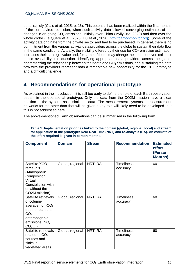detail rapidly (Ciais et al. 2015, p. 16). This potential has been realized within the first months of the coronavirus recession, when such activity data allowed converging estimates of the changes in on-going  $CO<sub>2</sub>$  emissions, initially over China (Myllyvirta, 2020) and then over the whole globe (Le Quéré et al., 2020; Liu et al., 2020; [http://carbonmonitor.org\)](http://carbonmonitor.org/). Some of the activity data originate from the private sector and had to be purchased. In general, there is no commitment from the various activity data providers across the globe to sustain their data flow in the same conditions. Actually, the visibility offered by their use for  $CO<sub>2</sub>$  emission estimation increases their strategic value and, for some of them, may change their price or even call their public availability into question. Identifying appropriate data providers across the globe, characterizing the relationship between their data and  $CO<sub>2</sub>$  emissions, and sustaining the data flow with the providers represent both a remarkable new opportunity for the CHE prototype and a difficult challenge.

### <span id="page-9-0"></span>**4 Recommendations for operational prototype**

As explained in the introduction, it is still too early to define the role of each Earth observation stream in the operational prototype. Only the data from the CO2M mission have a clear position in the system, as assimilated data. The measurement systems or measurement networks for the other data that will be given a key role will likely need to be developed, but this is not addressed here.

The above-mentioned Earth observations can be summarised in the following form.

| <b>Component</b>                                                                                                                                           | <b>Domain</b>    | <b>Stream</b> | <b>Recommendation</b>   | <b>Estimated</b><br>effort<br>(Person<br><b>Months)</b> |
|------------------------------------------------------------------------------------------------------------------------------------------------------------|------------------|---------------|-------------------------|---------------------------------------------------------|
| Satellite XCO <sub>2</sub><br>retrievals<br>(Atmospheric<br>Composition<br>Virtual<br>Constellation with<br>or without the<br>CO2M mission)                | Global, regional | NRT, RA       | Timeliness,<br>accuracy | 60                                                      |
| Satellite retrievals<br>of column-<br>average non- $CO2$<br>tracers related to<br>CO <sub>2</sub><br>anthropogenic<br>emissions $(NO2,$<br>$CO, \ldots$ ), | Global, regional | NRT, RA       | Timeliness,<br>accuracy | 60                                                      |
| Satellite retrievals<br>related to $CO2$<br>sources and<br>sinks in<br>vegetated areas                                                                     | Global, regional | NRT, RA       | Timeliness,<br>accuracy | 60                                                      |

**Table 1: Implementation priorities linked to the domain (global, regional, local) and stream for application in the prototype: Near Real Time (NRT) and re-analysis (RA). An estimate of the effort required is given in person months.**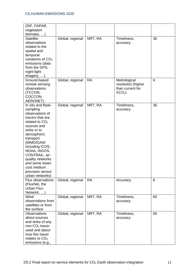#### C02 HUMAN EMISSIONS 2020

| (SIF, FAPAR,                  |                  |           |                    |    |
|-------------------------------|------------------|-----------|--------------------|----|
| vegetation                    |                  |           |                    |    |
| biomass, $\ldots$ )           |                  |           |                    |    |
| <b>Satellite</b>              | Global, regional | NRT, RA   | Timeliness,        | 36 |
| observations                  |                  |           | accuracy           |    |
| related to the                |                  |           |                    |    |
| spatial and                   |                  |           |                    |    |
| temporal                      |                  |           |                    |    |
| variations of CO <sub>2</sub> |                  |           |                    |    |
|                               |                  |           |                    |    |
| emissions (data               |                  |           |                    |    |
| from the GPS,                 |                  |           |                    |    |
| night-light                   |                  |           |                    |    |
| imagery, ).                   |                  |           |                    |    |
| Ground-based                  | Global, regional | <b>RA</b> | Metrological       | 6  |
| remote sensing                |                  |           | resolution (higher |    |
| observations                  |                  |           | than current for   |    |
| (TCCON,                       |                  |           | $XCO2$ )           |    |
| COCCON,                       |                  |           |                    |    |
| AERONET)                      |                  |           |                    |    |
| In situ and flask-            | Global, regional | NRT, RA   | Timeliness,        | 36 |
| sampling                      |                  |           | accuracy           |    |
| observations of               |                  |           |                    |    |
| tracers that are              |                  |           |                    |    |
| related to $CO2$              |                  |           |                    |    |
| sources and                   |                  |           |                    |    |
| sinks or to                   |                  |           |                    |    |
| atmospheric                   |                  |           |                    |    |
| transport                     |                  |           |                    |    |
| (WMO/GAW                      |                  |           |                    |    |
| including ICOS,               |                  |           |                    |    |
| NOAA, IAGOS,                  |                  |           |                    |    |
| CONTRAIL; air-                |                  |           |                    |    |
| quality networks              |                  |           |                    |    |
| and some lower-               |                  |           |                    |    |
|                               |                  |           |                    |    |
| cost medium                   |                  |           |                    |    |
| precision sensor              |                  |           |                    |    |
| urban networks)               |                  |           |                    |    |
| Flux observations             | Global, regional | <b>RA</b> | Accuracy           | 6  |
| (FluxNet, the                 |                  |           |                    |    |
| Urban Flux                    |                  |           |                    |    |
| Network, )                    |                  |           |                    |    |
| Wind                          | Global, regional | NRT, RA   | Timeliness,        | 60 |
| observations from             |                  |           | accuracy           |    |
| satellites or from            |                  |           |                    |    |
| the surface                   |                  |           |                    |    |
| <b>Observations</b>           | Global, regional | NRT, RA   | Timeliness,        | 60 |
| about sources                 |                  |           | accuracy           |    |
| and sinks of any              |                  |           |                    |    |
| non- $CO2$ tracer             |                  |           |                    |    |
| used and about                |                  |           |                    |    |
| how this tracer               |                  |           |                    |    |
| relates to $CO2$              |                  |           |                    |    |
| emissions (e.g.,              |                  |           |                    |    |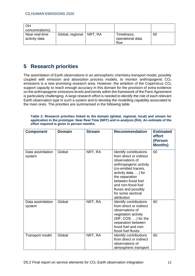| ΟH<br>concentrations).          |                            |                                         |    |
|---------------------------------|----------------------------|-----------------------------------------|----|
| Near-real-time<br>activity data | Global, regional   NRT, RA | Timeliness,<br>operational data<br>flow | 60 |

# <span id="page-11-0"></span>**5 Research priorities**

The assimilation of Earth observations in an atmospheric chemistry-transport model, possibly coupled with emission and absorption process models, to monitor anthropogenic  $CO<sub>2</sub>$ emissions is a new promising research area. However, the ambition of the Copernicus  $CO<sub>2</sub>$ support capacity to reach enough accuracy in this domain for the provision of extra evidence on the anthropogenic emissions levels and trends within the framework of the Paris Agreement is particularly challenging. A large research effort is needed to identify the role of each relevant Earth observation type in such a system and to develop the modelling capability associated to the main ones. The priorities are summarised in the following table.

#### **Table 2: Research priorities linked to the domain (global, regional, local) and stream for application in the prototype: Near Real Time (NRT) and re-analysis (RA). An estimate of the effort required is given in person months.**

| <b>Component</b>            | <b>Domain</b> | <b>Stream</b> | <b>Recommendation</b>                                                                                                                                                                                                                                                     | <b>Estimated</b><br>effort<br>(Person<br><b>Months)</b> |
|-----------------------------|---------------|---------------|---------------------------------------------------------------------------------------------------------------------------------------------------------------------------------------------------------------------------------------------------------------------------|---------------------------------------------------------|
| Data assimilation<br>system | Global        | NRT, RA       | Identify contributions<br>from direct or indirect<br>observations of<br>anthropogenic activity<br>(co-emitted tracers,<br>activity data, ) for<br>the separation<br>between fossil fuel<br>and non-fossil fuel<br>fluxes and possibly<br>for some sectoral<br>attribution | 60                                                      |
| Data assimilation<br>system | Global        | NRT, RA       | Identify contributions<br>from direct or indirect<br>observations of<br>vegetation activity<br>(SIF, COS, ) for the<br>separation between<br>fossil fuel and non-<br>fossil fuel fluxes                                                                                   | 60                                                      |
| Transport model             | Global        | NRT, RA       | Identify contributions<br>from direct or indirect<br>observations of<br>atmospheric transport                                                                                                                                                                             | 60                                                      |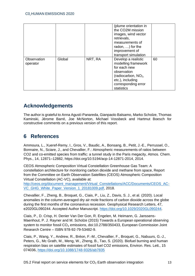|                         |        |         | (plume orientation in<br>the CO2M mission<br>images, wind vector<br>retrievals,<br>measurements of<br>radon, $\ldots$ ) for the<br>improvement of<br>transport simulation |    |
|-------------------------|--------|---------|---------------------------------------------------------------------------------------------------------------------------------------------------------------------------|----|
| Observation<br>operator | Global | NRT, RA | Develop a realistic<br>modelling framework<br>for each new<br>observation<br>(radiocarbon, $NO2$ ,<br>etc.), including<br>corresponding error<br>statistics               | 60 |

# <span id="page-12-0"></span>**Acknowledgements**

The author is grateful to Anna Agustí-Panareda, Gianpaolo Balsamo, Marko Scholze, Thomas Kaminski, Jérome Barré, Joe McNorton, Michael Vossbeck and Hartmut Boesch for constructive comments on a previous version of this report.

# <span id="page-12-1"></span>**6 References**

Ammoura, L., Xueref-Remy, I., Gros, V., Baudic, A., Bonsang, B., Petit, J.-E., Perrussel, O., Bonnaire, N., Sciare, J., and Chevallier, F.: Atmospheric measurements of ratios between CO2 and co-emitted species from traffic: a tunnel study in the Paris megacity, Atmos. Chem. Phys., 14, 12871–12882, https://doi.org/10.5194/acp-14-12871-2014, 2014.

CEOS Atmospheric Composition Virtual Constellation Greenhouse Gas Team: A constellation architecture for monitoring carbon dioxide and methane from space, Report from the Committee on Earth Observation Satellites (CEOS) Atmospheric Composition Virtual Constellation (AC-VC), available at:

[http://ceos.org/document\\_management/Virtual\\_Constellations/ACC/Documents/CEOS\\_AC-](http://ceos.org/document_management/Virtual_Constellations/ACC/Documents/CEOS_AC-VC_GHG_White_Paper_Version_1_20181009.pdf)[VC\\_GHG\\_White\\_Paper\\_Version\\_1\\_20181009.pdf,](http://ceos.org/document_management/Virtual_Constellations/ACC/Documents/CEOS_AC-VC_GHG_White_Paper_Version_1_20181009.pdf) 2018.

Chevallier, F., Zheng, B., Broquet, G., Ciais, P., Liu, Z., Davis, S. J., et al. (2020). Local anomalies in the column‐averaged dry air mole fractions of carbon dioxide across the globe during the first months of the coronavirus recession. Geophysical Research Letters, 47, e2020GL090244. Accepted Author Manuscript. [https://doi.org/10.1029/2020GL090244.](https://doi.org/10.1029/2020GL090244)

Ciais, P., D. Crisp, H. Denier Van Der Gon, R. Engelen, M. Heimann, G. Janssens-Maenhout, P. J. Rayner and M. Scholze (2015) Towards a European operational observing system to monitor fossil CO<sub>2</sub> emissions, doi:10.2788/350433, European Commission Joint Research Centre – ISBN 978-92-79-53482-9.

Ciais, P., Wang, Y., Andrew, R., Bréon, F.-M., Chevallier, F., Broquet, G., Nabuurs, G.-J., Peters, G., Mc Grath, M., Meng, W., Zheng, B., Tao, S. (2020). Biofuel burning and human respiration bias on satellite estimates of fossil fuel CO2 emissions, Environ. Res. Lett., 15 074036,<https://doi.org/10.1088/1748-9326/ab7835>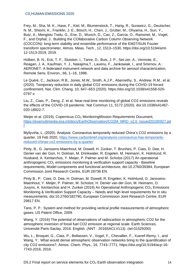#### C02 HUMAN EMISSIONS 2020

Frey, M., Sha, M. K., Hase, F., Kiel, M., Blumenstock, T., Harig, R., Surawicz, G., Deutscher, N. M., Shiomi, K., Franklin, J. E., Bösch, H., Chen, J., Grutter, M., Ohyama, H., Sun, Y., Butz, A., Mengistu Tsidu, G., Ene, D., Wunch, D., Cao, Z., Garcia, O., Ramonet, M., Vogel, F., and Orphal, J.: Building the COllaborative Carbon Column Observing Network (COCCON): long-term stability and ensemble performance of the EM27/SUN Fourier transform spectrometer, Atmos. Meas. Tech., 12, 1513–1530, https://doi.org/10.5194/amt-12-1513-2019, 2019.

Holben, B. N., Eck, T. F., Slutsker, I., Tanre, D., Buis, J. P., Set-zer, A., Vermote, E., Reagan, J. A., Kaufman, Y. J., Nakajima,T., Lavenu, F., Jankowiak, I., and Smirnov, A.: AERONET: A federated instrument network and data archive for aerosol characterization, Remote Sens. Environ., 66, 1–16, 1998.

Le Quéré, C., Jackson, R.B., Jones, M.W., Smith, A.J.P., Abernethy, S., Andrew, R.M., et al. (2020). Temporary reduction in daily global CO2 emissions during the COVID-19 forced confinement. Nat. Clim. Chang. 10, 647–653 (2020). https://doi.org/10.1038/s41558-020- 0797-x

Liu, Z., Ciais, P., Deng, Z. et al. Near-real-time monitoring of global CO2 emissions reveals the effects of the COVID-19 pandemic. Nat Commun 11, 5172 (2020). doi:10.1038/s41467- 020-18922-7.

Meijer et al. (2019), Copernicus CO<sup>2</sup> MonitoringMission Requirements Document, [https://esamultimedia.esa.int/docs/EarthObservation/CO2M\\_MRD\\_v2.0\\_Issued20190927.pd](https://esamultimedia.esa.int/docs/EarthObservation/CO2M_MRD_v2.0_Issued20190927.pdf) [f](https://esamultimedia.esa.int/docs/EarthObservation/CO2M_MRD_v2.0_Issued20190927.pdf)

Myllyvirta, L. (2020). Analysis: Coronavirus temporarily reduced China's CO2 emissions by a quarter, 19 Feb 2020, [https://www.carbonbrief.org/analysis-coronavirus-has-temporarily](https://www.carbonbrief.org/analysis-coronavirus-has-temporarily-reduced-chinas-co2-emissions-by-a-quarter)[reduced-chinas-co2-emissions-by-a-quarter](https://www.carbonbrief.org/analysis-coronavirus-has-temporarily-reduced-chinas-co2-emissions-by-a-quarter)

Pinty, B., G. Janssens-Maenhout, M. Dowell, H. Zunker, T. Brunhes, P. Ciais, D. Dee, H. Denier van der Gon, H. Dolman, M. Drinkwater, R. Engelen, M. Heimann, K. Holmlund, R. Husband, A. Kentarchos, Y. Meijer, P. Palmer and M. Scholze (2017) An operational anthropogenic  $CO<sub>2</sub>$  emissions monitoring & verification support capacity - Baseline requirements, Model components and functional architecture, doi:10.2760/39384, European Commission Joint Research Centre, EUR 28736 EN.

Pinty B., P. Ciais, D. Dee, H. Dolman, M. Dowell, R. Engelen, K. Holmlund, G. Janssens-Maenhout, Y. Meijer, P. Palmer, M. Scholze, H. Denier van der Gon, M. Heimann, O. Juvyns, A. Kentarchos and H. Zunker (2019) An Operational Anthropogenic  $CO<sub>2</sub>$  Emissions Monitoring & Verification Support Capacity – Needs and high level requirements for in situ measurements, doi:10.2760/182790, European Commission Joint Research Centre, EUR 29817 EN.

Tans, P. P.: System and method for providing vertical profile measurements of atmospheric gases, US Patent Office, 2009.

Wang, Y. (2016) The potential of observations of radiocarbon in atmospheric CO2 for the atmospheric inversion of fossil fuel CO2 emission at regional scale. Earth Sciences. Université Paris-Saclay, 2016. English. ⟨NNT : 2016SACLV113⟩. ⟨tel-01529200⟩

Wu, L., Broquet, G., Ciais, P., Bellassen, V., Vogel, F., Chevallier, F., Xueref-Remy, I., and Wang, Y.: What would dense atmospheric observation networks bring to the quantification of city CO2 emissions?, Atmos. Chem. Phys., 16, 7743–7771, https://doi.org/10.5194/acp-16- 7743-2016, 2016.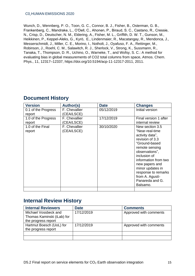Wunch, D., Wennberg, P. O., Toon, G. C., Connor, B. J., Fisher, B., Osterman, G. B., Frankenberg, C., Mandrake, L., O'Dell, C., Ahonen, P., Biraud, S. C., Castano, R., Cressie, N., Crisp, D., Deutscher, N. M., Eldering, A., Fisher, M. L., Griffith, D. W. T., Gunson, M., Heikkinen, P., Keppel-Aleks, G., Kyrö, E., Lindenmaier, R., Macatangay, R., Mendonca, J., Messerschmidt, J., Miller, C. E., Morino, I., Notholt, J., Oyafuso, F. A., Rettinger, M., Robinson, J., Roehl, C. M., Salawitch, R. J., Sherlock, V., Strong, K., Sussmann, R., Tanaka, T., Thompson, D. R., Uchino, O., Warneke, T., and Wofsy, S. C.: A method for evaluating bias in global measurements of CO2 total columns from space, Atmos. Chem. Phys., 11, 12317–12337, https://doi.org/10.5194/acp-11-12317-2011, 2011.

| <b>Version</b>      | Author(s)     | <b>Date</b> | <b>Changes</b>        |
|---------------------|---------------|-------------|-----------------------|
| 0.1 of the Progress | F. Chevallier | 05/12/2019  | Initial version       |
| report              | (CEA/LSCE)    |             |                       |
| 1.0 of the Progress | F. Chevallier | 17/12/2019  | Final version 1 after |
| report              | (CEA/LSCE)    |             | internal review       |
| 1.0 of the Final    | F. Chevallier | 30/10/2020  | New section 3.5       |
| report              | (CEA/LSCE)    |             | "Near-real-time       |
|                     |               |             | activity data",       |
|                     |               |             | revision of 3.3       |
|                     |               |             | "Ground-based         |
|                     |               |             | remote sensing        |
|                     |               |             | observations".        |
|                     |               |             | inclusion of          |
|                     |               |             | information from two  |
|                     |               |             | new papers and        |
|                     |               |             | minor updates in      |
|                     |               |             | response to remarks   |
|                     |               |             | from A. Agustí-       |
|                     |               |             | Panareda and G.       |
|                     |               |             | Balsamo.              |
|                     |               |             |                       |

### **Document History**

# **Internal Review History**

| <b>Internal Reviewers</b>  | <b>Date</b> | <b>Comments</b>        |
|----------------------------|-------------|------------------------|
| Michael Vossbeck and       | 17/12/2019  | Approved with comments |
| Thomas Kaminski (iLab) for |             |                        |
| the progress report        |             |                        |
| Hartmut Boesch (UoL) for   | 17/12/2019  | Approved with comments |
| the progress report        |             |                        |
|                            |             |                        |
|                            |             |                        |